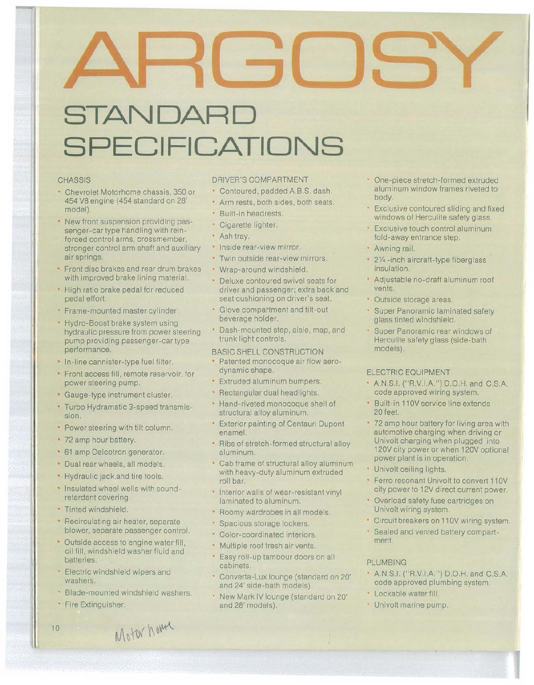# **STANDARD SPECIFICATIONS**

#### **CHASSIS**

- Chevrolet Motorhome chassis, 350 or 454 V8 engine (454 standard on 28' model).
- New front suspension providing passenger-car type handling with reinforced control arms, crossmember, stronger control arm shaft and auxiliary air springs.
- Front disc brakes and rear drum brakes with improved brake lining material.
- High ratio brake pedal for reduced pedal effort.
- Frame-mounted master cylinder.
- Hydro-Boost brake system using hydraulic pressure from power steering pump providing passenger-car type performance.
- In-line cannister-type fuel filter.
- Front access fill, remote reservoir, for power steering pump.
- Gauge-type instrument cluster.
- Turbo Hydramatic 3-speed transmission.
- Power steering with tilt column.
- 72 amp hour battery.
- 61 amp Delcotron generator.
- Dual rear wheels, all models.
- Hydraulic jack.and tire tools.
- Insulated wheel wells with soundretardant covering.
- Tinted Windshield.
- Recirculating air heater, separate blower, separate passenger control.
- Outside access to engine water fill, oil fill, windshield washer fluid and batteries.
- Electric windshield wipers and washers.
- Blade-mounted windshield washers.
- Fire Extinguisher.

#### DRIVER'S COMPARTMENT

- Contoured, padded A.B.S. dash.
- Arm rests, both sides, both seats.
- Built-in headrests.
- Cigarette lighter.
- Ash tray.
- Inside rear-view mirror.
- Twin outside rear-view mirrors.
- Wrap-around windshield.
- Deluxe contoured swivel seats for driver and passenger; extra back and seat cushioning on driver's seat.
- Glove compartment and tilt-out beverage holder.
- Dash-mounted step, aisle, map, and trunk light controls.

#### BASIC SHELL CONSTRUCTION

- Patented monocoque air flow aerodynamic shape.
- Extruded aluminum bumpers.
- Rectangular dual headlights.
- Hand-riveted monocoque shell of structural alloy aluminum.
- Exterior painting of Centauri Dupont enamel.
- Ribs of stretch-formed structural alloy aluminum.
- Cab frame of structural alloy aluminum with heavy-duty aluminum extruded roll bar.
- **· Interior walls of wear-resistant vinyl** laminated to aluminum.
- Roomy wardrobes in all models.
- **· Spacious storage lockers.**
- Color-coordinated interiors.
- Multiple roof fresh air vents.
- Easy roll-up tambour doors on all cabinets.
- Converta-Lux lounge (standard on 20' and 24' side-bath models).
- New Mark IV lounge (standard on 20' and 28' models).
- One-piece stretch-formed extruded aluminum window frames riveted to body.
- Exclusive contoured sliding and fixed windows of Herculite safety glass.
- Exclusive touch control aluminum fold-away entrance step.
- Awning rail.
- 21/4 -inch aircraft-type fiberglass insulation.
- Adjustable no-draft aluminum roof vents.
- Outside storage areas.
- Super Panoramic laminated safety glass tinted Windshield.
- Super Panoramic rear windows of Herculite safety glass (side-bath models).

#### ELECTRIC EOUIPMENT

- A.N.S.I. ("R.V.I.A.") D.O.H. and C.S.A. code approved wiring system.
- Built-in 110V service line extends 20 feet.
- 72 amp hour battery for living area with automotive charging when driving or Univolt charging when plugged into 120V city power or when 120V optional power plant is in operation.
- Univolt ceiling lights.
- Ferro resonant Univolt to convert 110V city power to 12V direct current power.
- Overload safety fuse cartridges on Univolt wiring system.
- Circuit breakers on 11 OV wiring system.
- Sealed and vented battery compartment.

#### PLUMBING

- A.N.S.I. ("R.V.I.A.") D.O.H. and C.S.A. code approved plumbing system.
- Lockable water fill.
- Univolt marine pump.